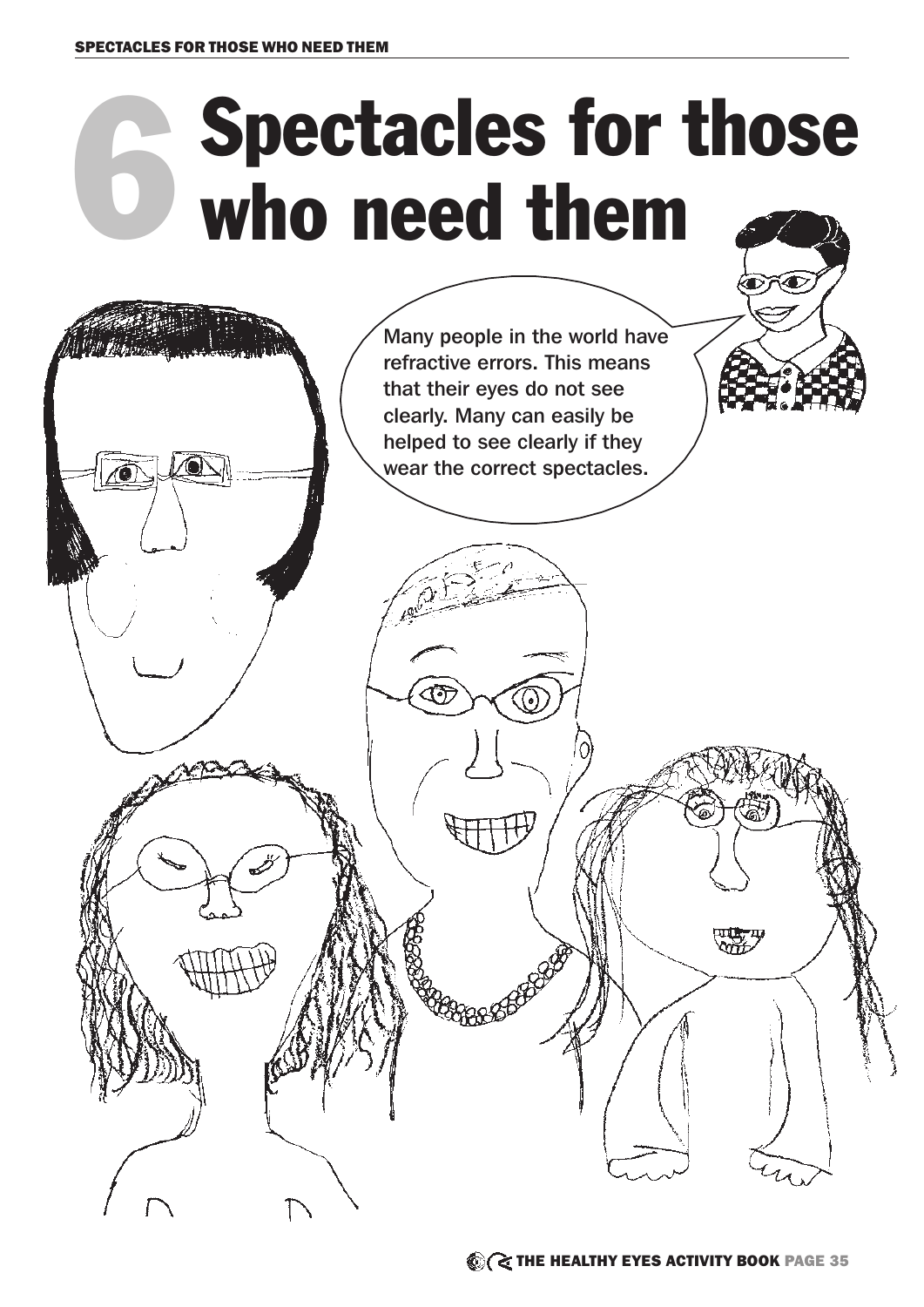## 6 Spectacles for those who need them

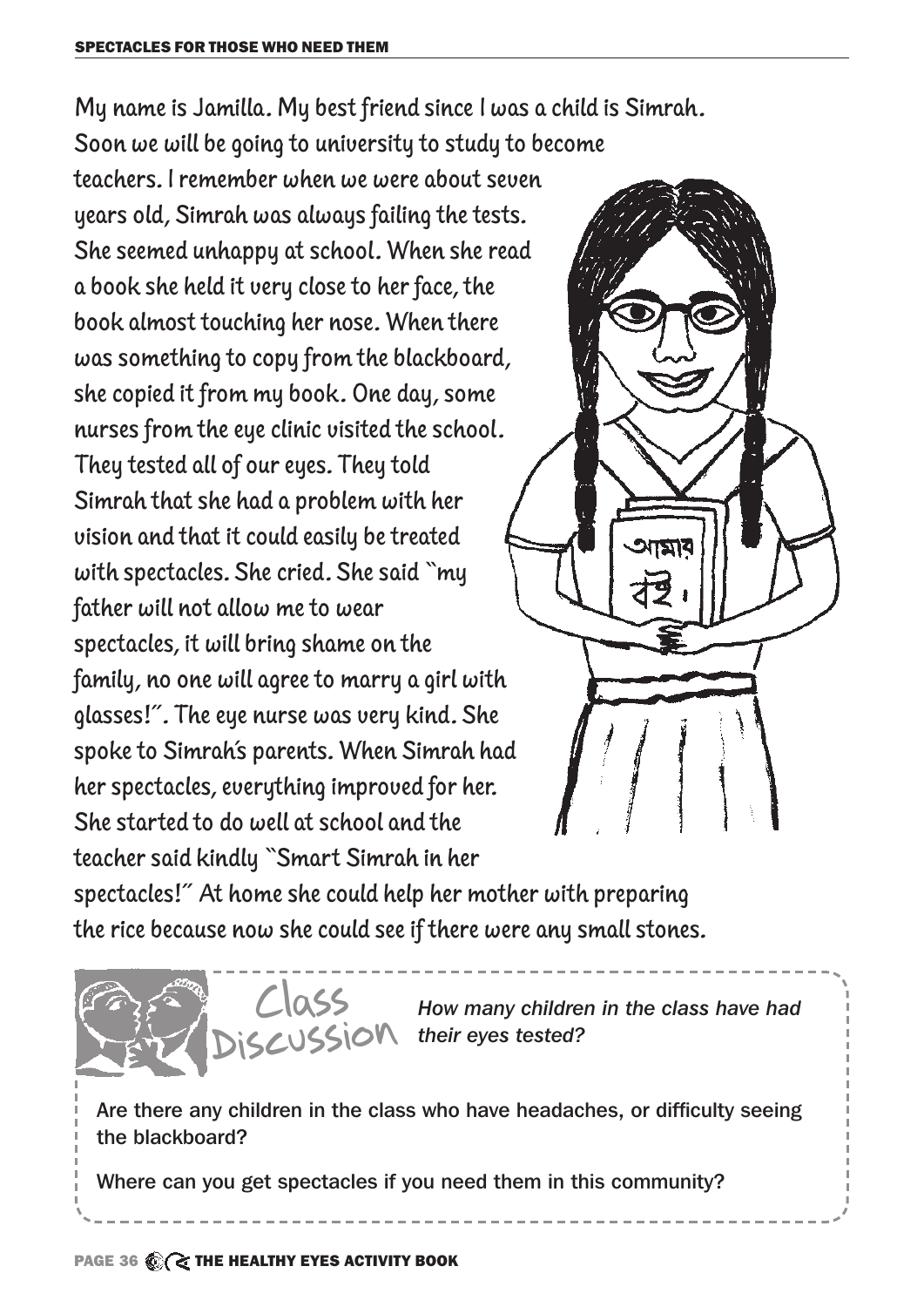My name is Jamilla. My best friend since I was a child is Simrah. Soon we will be going to university to study to become

teachers. I remember when we were about seven years old, Simrah was always failing the tests. She seemed unhappy at school. When she read a book she held it very close to her face, the book almost touching her nose. When there was something to copy from the blackboard, she copied it from my book. One day, some nurses from the eye clinic visited the school. They tested all of our eyes. They told Simrah that she had a problem with her vision and that it could easily be treated with spectacles. She cried. She said "my father will not allow me to wear spectacles, it will bring shame on the family, no one will agree to marry a girl with glasses!". The eye nurse was very kind. She spoke to Simrah's parents. When Simrah had her spectacles, everything improved for her. She started to do well at school and the teacher said kindly "Smart Simrah in her

spectacles!" At home she could help her mother with preparing the rice because now she could see if there were any small stones.

How many children in the class have had *their eyes tested?*

Are there any children in the class who have headaches, or difficulty seeing the blackboard?

Where can you get spectacles if you need them in this community?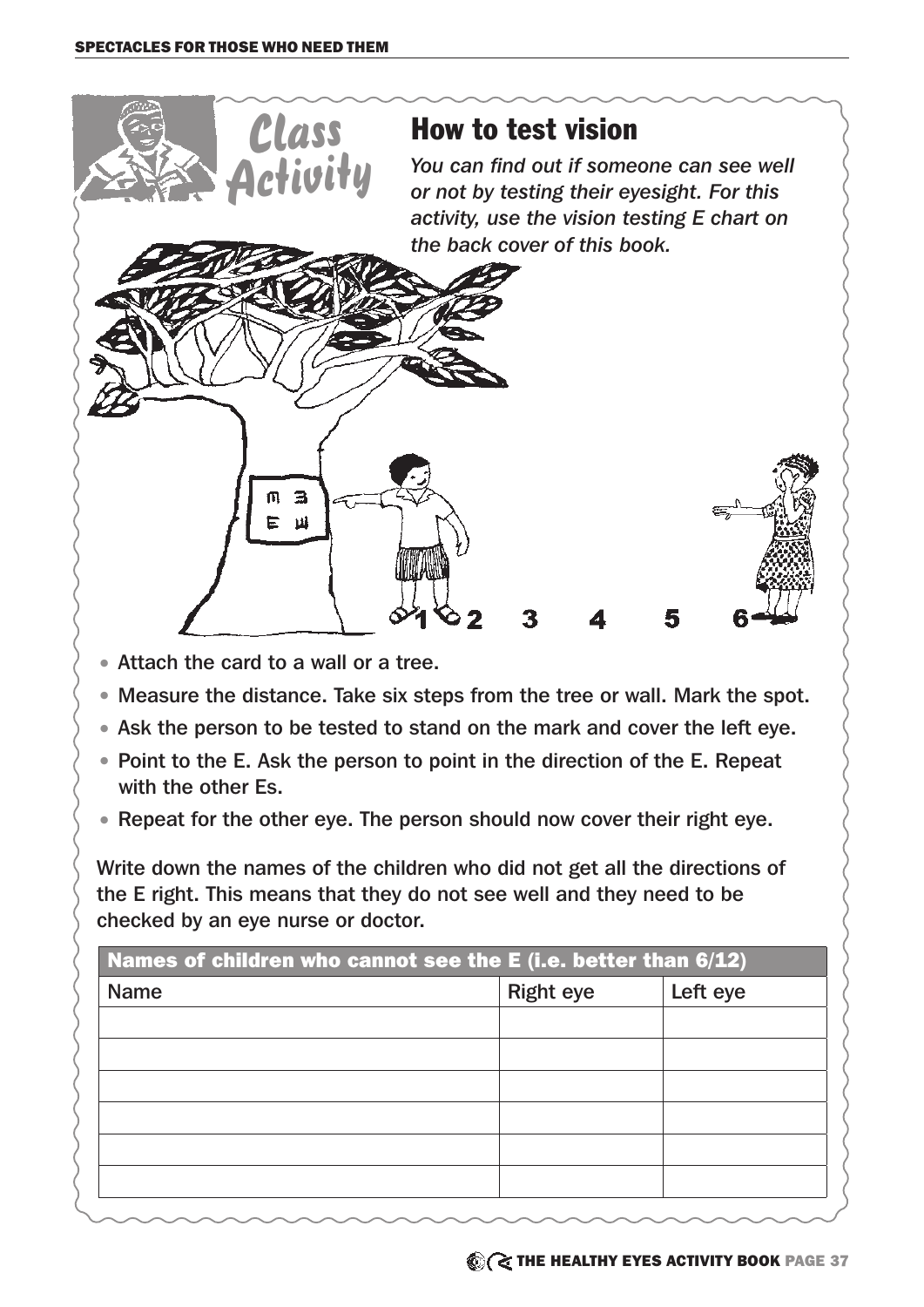

- Measure the distance. Take six steps from the tree or wall. Mark the spot.
- Ask the person to be tested to stand on the mark and cover the left eye.
- Point to the E. Ask the person to point in the direction of the E. Repeat with the other Es.
- Repeat for the other eye. The person should now cover their right eye.

Write down the names of the children who did not get all the directions of the E right. This means that they do not see well and they need to be checked by an eye nurse or doctor.

| <b>Name</b> | <b>Right eye</b> | Left eye |
|-------------|------------------|----------|
|             |                  |          |
|             |                  |          |
|             |                  |          |
|             |                  |          |
|             |                  |          |
|             |                  |          |
|             |                  |          |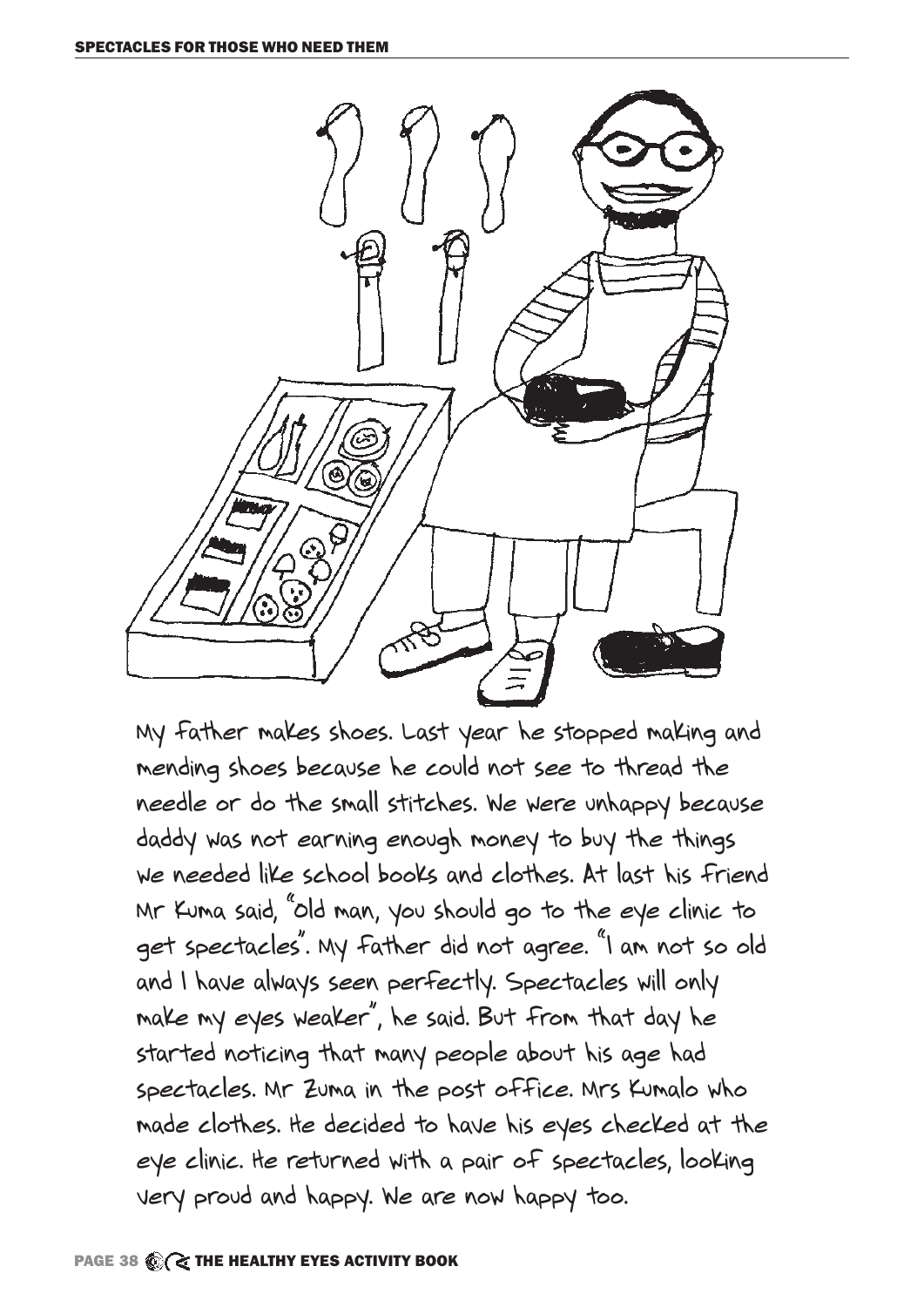

My father makes shoes. Last year he stopped making and mending shoes because he could not see to thread the needle or do the small stitches. We were unhappy because daddy was not earning enough money to buy the things we needed like school books and clothes. At last his friend Mr Kuma said, "Old man, you should go to the eye clinic to get spectacles". My father did not agree. "I am not so old and I have always seen perfectly. Spectacles will only make my eyes weaker", he said. But from that day he started noticing that many people about his age had spectacles. Mr Zuma in the post office. Mrs Kumalo who made clothes. He decided to have his eyes checked at the eye clinic. He returned with a pair of spectacles, looking very proud and happy. We are now happy too.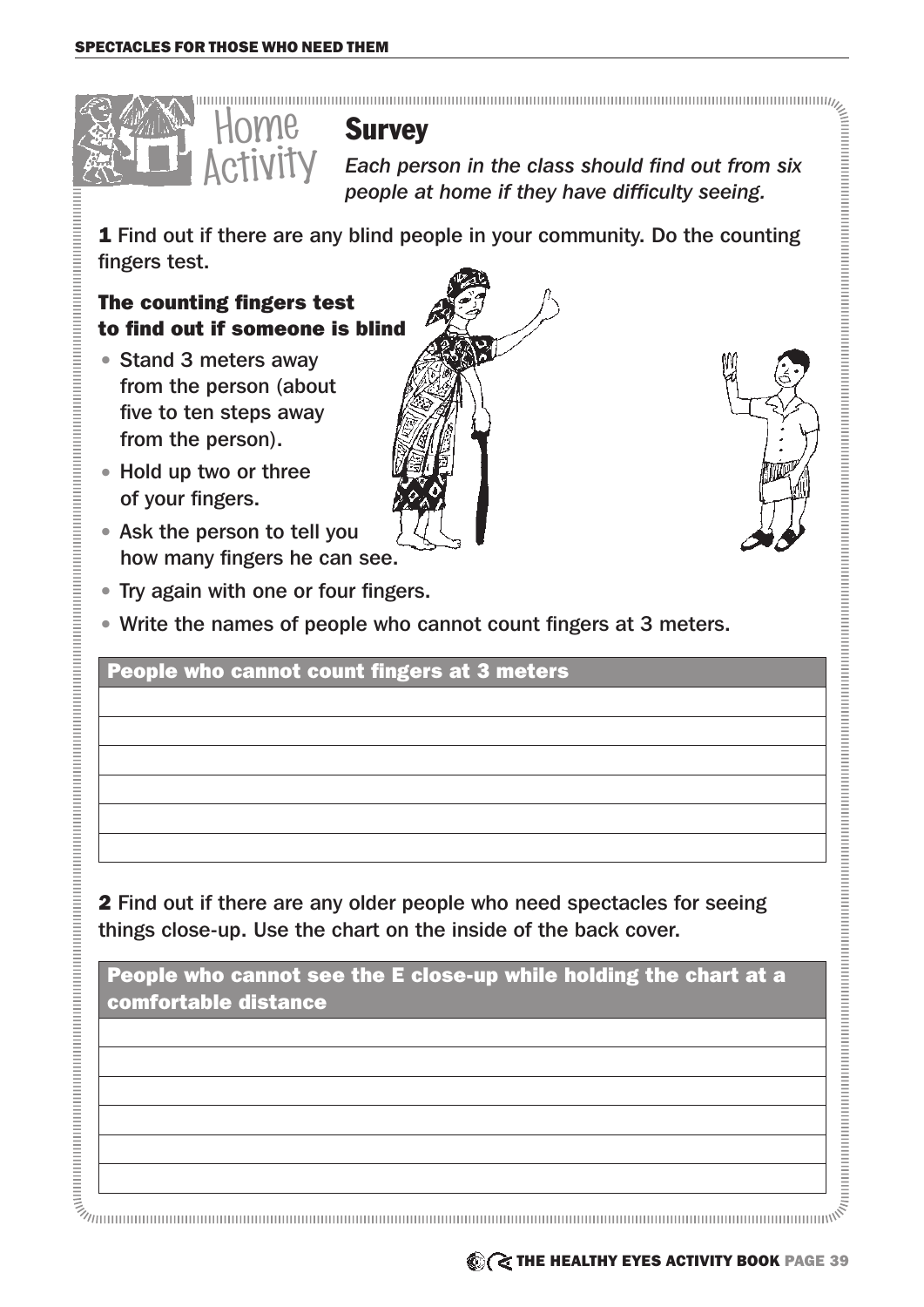

*Each person in the class should find out from six people at home if they have difficulty seeing.*

**1** Find out if there are any blind people in your community. Do the counting fingers test.

## The counting fingers test to find out if someone is blind

- Stand 3 meters away from the person (about five to ten steps away from the person).
- Hold up two or three of your fingers.
- Ask the person to tell you how many fingers he can see.
- Try again with one or four fingers.
- Write the names of people who cannot count fingers at 3 meters.

People who cannot count fingers at 3 meters

2 Find out if there are any older people who need spectacles for seeing things close-up. Use the chart on the inside of the back cover.

People who cannot see the E close-up while holding the chart at a comfortable distance